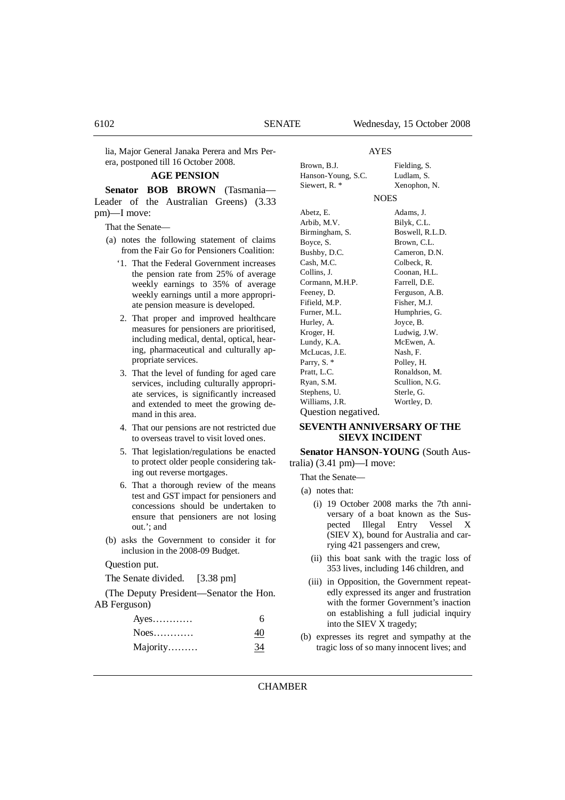lia, Major General Janaka Perera and Mrs Perera, postponed till 16 October 2008.

### **AGE PENSION**

**Senator BOB BROWN** (Tasmania— Leader of the Australian Greens) (3.33 pm)—I move:

That the Senate—

- (a) notes the following statement of claims from the Fair Go for Pensioners Coalition:
	- '1. That the Federal Government increases the pension rate from 25% of average weekly earnings to 35% of average weekly earnings until a more appropriate pension measure is developed.
	- 2. That proper and improved healthcare measures for pensioners are prioritised, including medical, dental, optical, hearing, pharmaceutical and culturally appropriate services.
	- 3. That the level of funding for aged care services, including culturally appropriate services, is significantly increased and extended to meet the growing demand in this area.
	- 4. That our pensions are not restricted due to overseas travel to visit loved ones.
	- 5. That legislation/regulations be enacted to protect older people considering taking out reverse mortgages.
	- 6. That a thorough review of the means test and GST impact for pensioners and concessions should be undertaken to ensure that pensioners are not losing out.'; and
- (b) asks the Government to consider it for inclusion in the 2008-09 Budget.

### Question put.

The Senate divided. [3.38 pm]

(The Deputy President—Senator the Hon. AB Ferguson)

| $Ayes$   | 6  |
|----------|----|
| $Noes$   | 40 |
| Majority | 34 |

## AYES

| Brown, B.J.        | Fielding, S. |
|--------------------|--------------|
| Hanson-Young, S.C. | Ludlam, S.   |
| Siewert, R. *      | Xenophon, N. |

#### **NOES**

| Abetz, E.           | Adams, J.       |
|---------------------|-----------------|
| Arbib, M.V.         | Bilyk, C.L.     |
| Birmingham, S.      | Boswell, R.L.D. |
| Boyce, S.           | Brown, C.L.     |
| Bushby, D.C.        | Cameron, D.N.   |
| Cash, M.C.          | Colbeck, R.     |
| Collins, J.         | Coonan, H.L.    |
| Cormann, M.H.P.     | Farrell, D.E.   |
| Feeney, D.          | Ferguson, A.B.  |
| Fifield, M.P.       | Fisher, M.J.    |
| Furner, M.L.        | Humphries, G.   |
| Hurley, A.          | Joyce, B.       |
| Kroger, H.          | Ludwig, J.W.    |
| Lundy, K.A.         | McEwen, A.      |
| McLucas, J.E.       | Nash, F.        |
| Parry, S. *         | Polley, H.      |
| Pratt, L.C.         | Ronaldson, M.   |
| Ryan, S.M.          | Scullion, N.G.  |
| Stephens, U.        | Sterle, G.      |
| Williams, J.R.      | Wortley, D.     |
| Question negatived. |                 |

## **SEVENTH ANNIVERSARY OF THE SIEVX INCIDENT**

# **Senator HANSON-YOUNG** (South Aus-

tralia) (3.41 pm)—I move:

That the Senate—

- (a) notes that:
	- (i) 19 October 2008 marks the 7th anniversary of a boat known as the Suspected Illegal Entry Vessel X (SIEV X), bound for Australia and carrying 421 passengers and crew,
	- (ii) this boat sank with the tragic loss of 353 lives, including 146 children, and
	- (iii) in Opposition, the Government repeatedly expressed its anger and frustration with the former Government's inaction on establishing a full judicial inquiry into the SIEV X tragedy;
- (b) expresses its regret and sympathy at the tragic loss of so many innocent lives; and

### **CHAMBER**